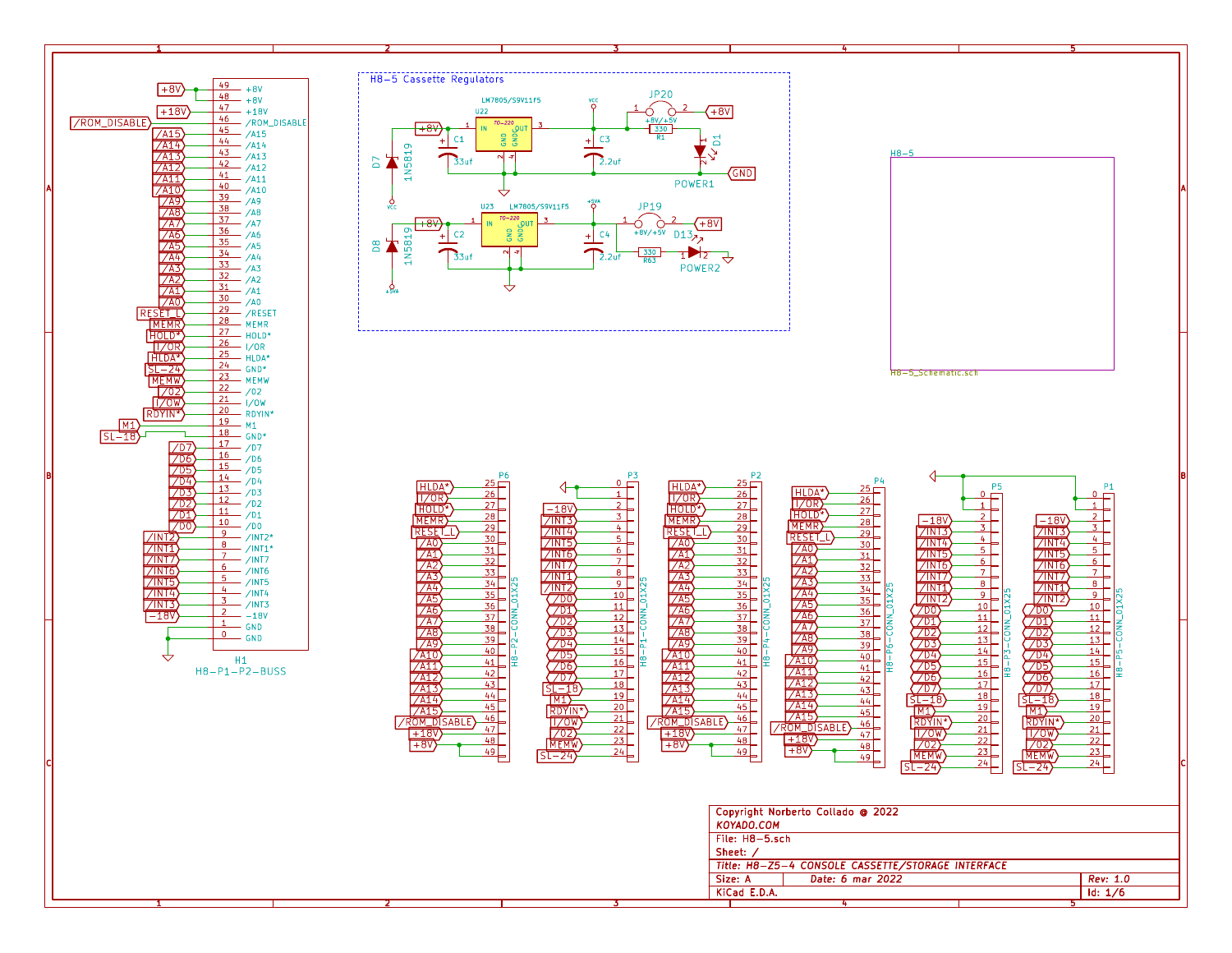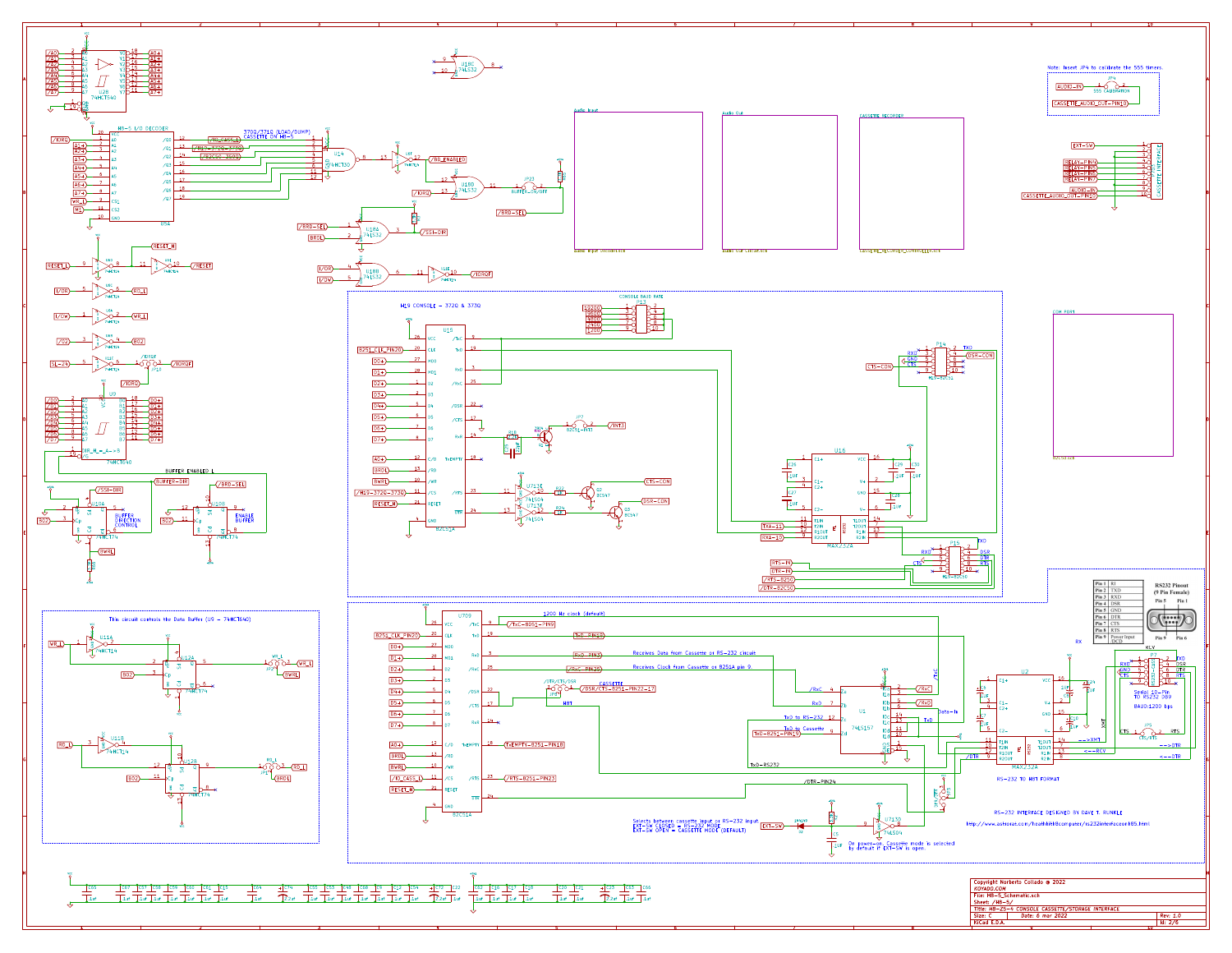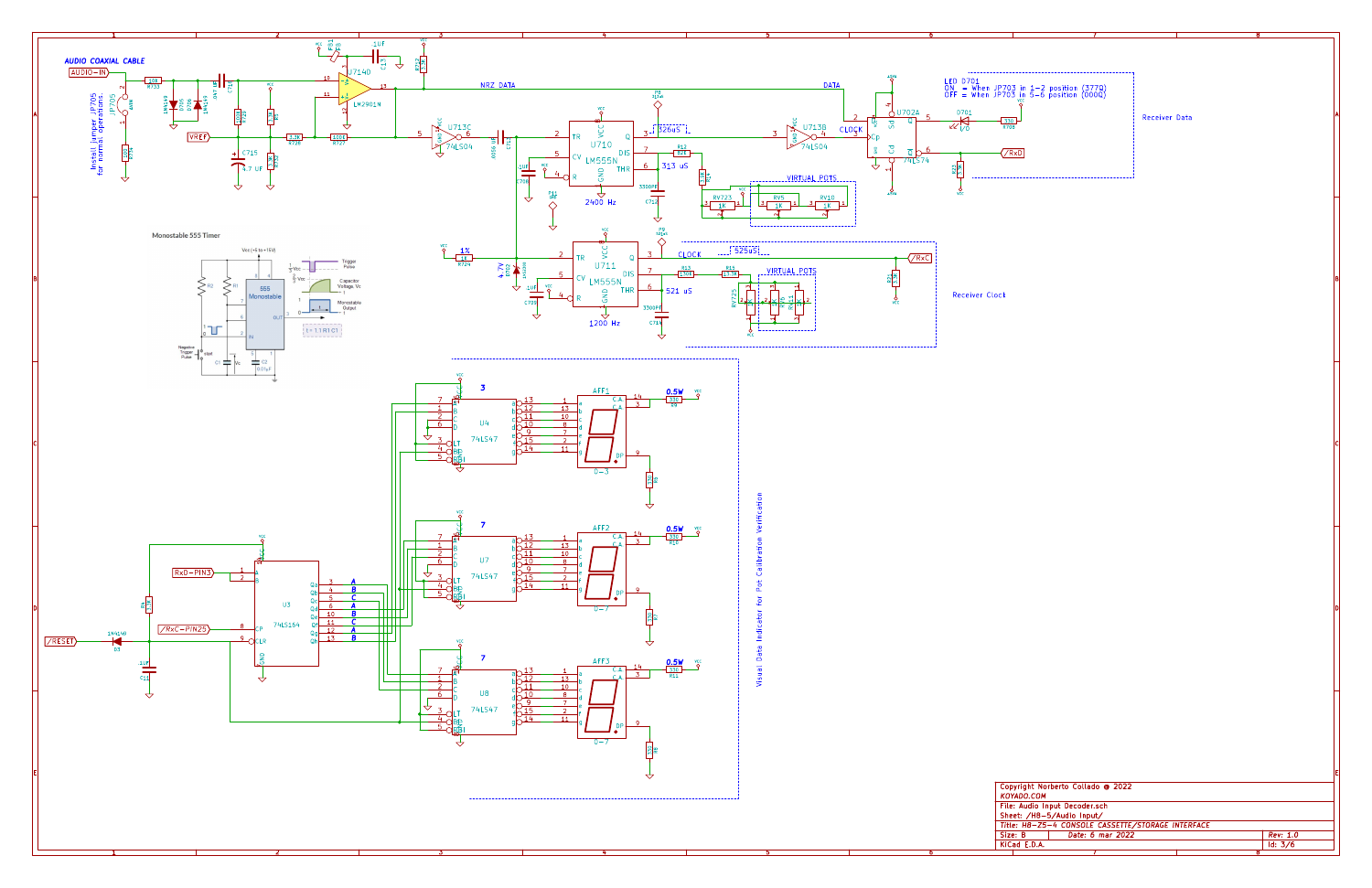|  |  | Copyright Norberto Collado @ 2022                 |          |  |
|--|--|---------------------------------------------------|----------|--|
|  |  | KOYADO.COM                                        |          |  |
|  |  | File: Audio Input Decoder.sch                     |          |  |
|  |  | Sheet: /H8-5/Audio Input/                         |          |  |
|  |  | Title: H8-Z5-4 CONSOLE CASSETTE/STORAGE INTERFACE |          |  |
|  |  | Date: 6 mar 2022<br>Size: B                       | Rev: 1.0 |  |
|  |  | KiCad E.D.A.                                      | Id: 3/6  |  |
|  |  |                                                   |          |  |



3 and  $\sim$  3 and  $\sim$  4 and  $\sim$  4 and  $\sim$  5 and  $\sim$  5 and  $\sim$  5 and  $\sim$  5 and  $\sim$  5 and  $\sim$  5 and  $\sim$  5 and  $\sim$  5 and  $\sim$  5 and  $\sim$  5 and  $\sim$  5 and  $\sim$  5 and  $\sim$  5 and  $\sim$  5 and  $\sim$  5 and  $\sim$  5 and  $\sim$  5

1 and 1 and 1 and 1 and 1 and 1 and 1 and 1  $\sigma$  1 and 1 and 1 and 1 and 1 and 1 and 1 and 1 and 1 and 1 and 1

2 and  $\overline{3}$  3 and  $\overline{4}$  4 and  $\overline{4}$  4 and  $\overline{4}$  5 and  $\overline{4}$  4 and  $\overline{4}$  5 and  $\overline{4}$  5 and  $\overline{4}$  5 and  $\overline{4}$  5 and  $\overline{4}$  5 and  $\overline{4}$  5 and  $\overline{4}$  5 and 3 and 4 and 4 and 4 and 4 and 4 and

8 and 2008 and 2008 and 2008 and 2008 and 2008 and 2008 and 2008 and 2008 and 2008 and 2008 and 2008 and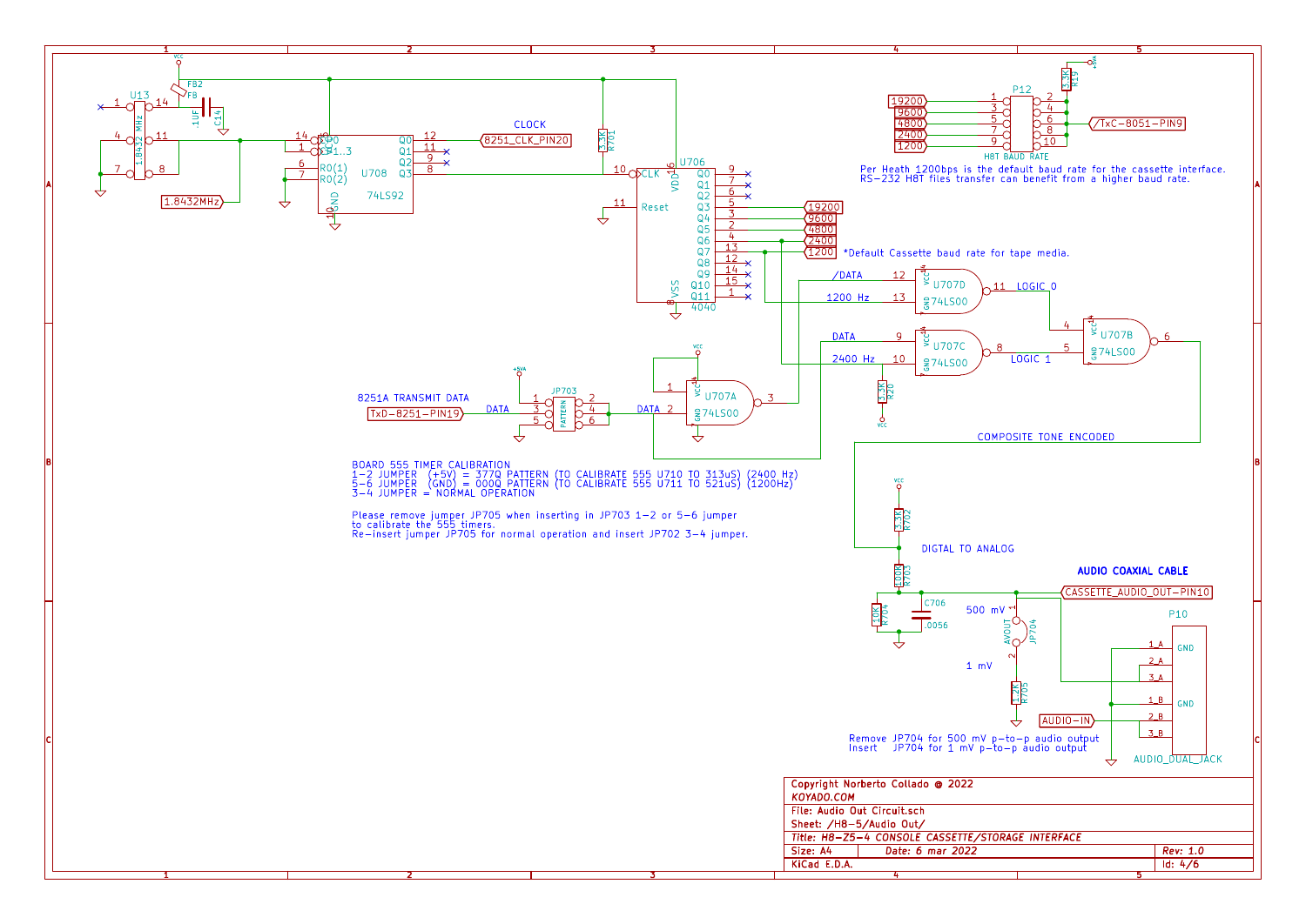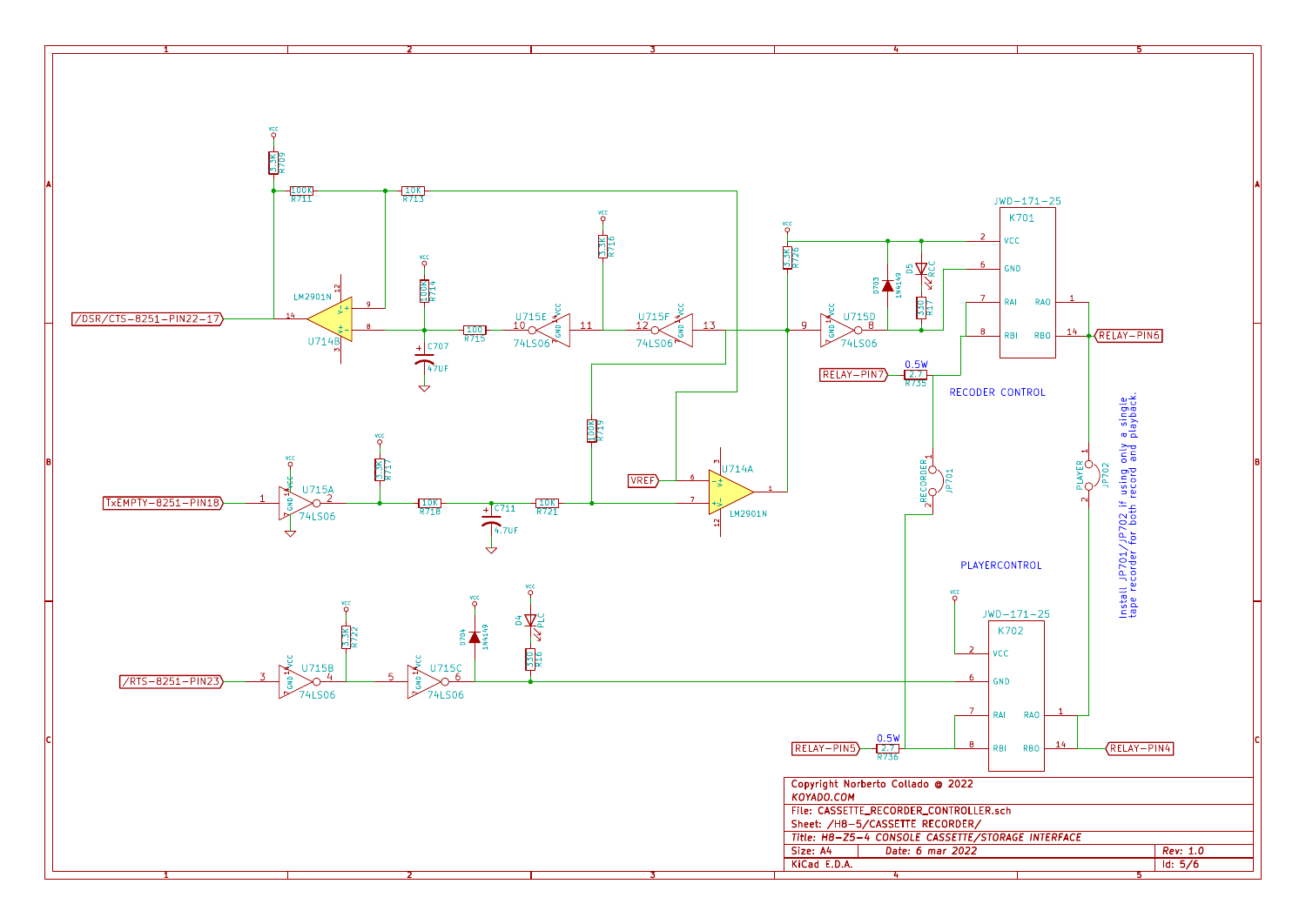